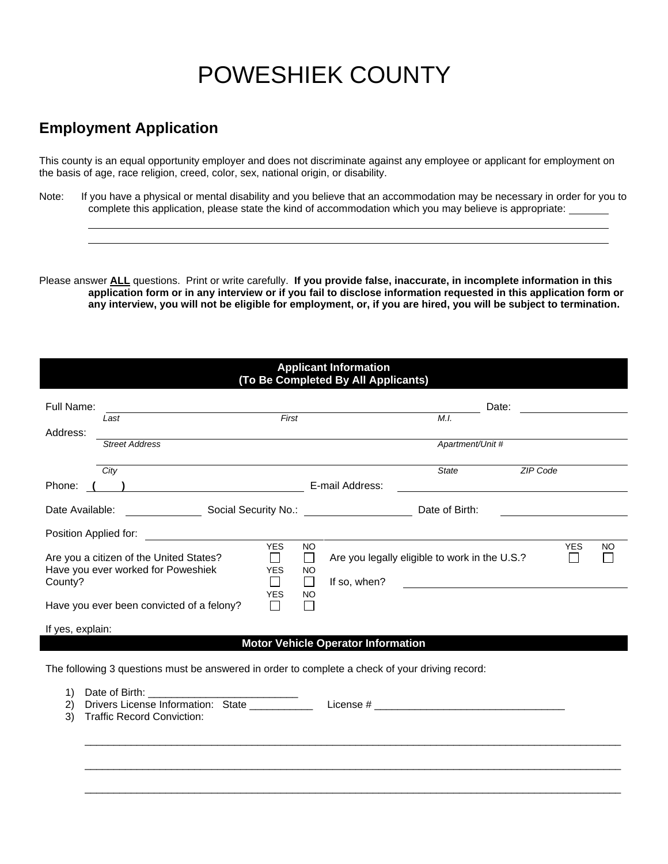## POWESHIEK COUNTY

## **Employment Application**

This county is an equal opportunity employer and does not discriminate against any employee or applicant for employment on the basis of age, race religion, creed, color, sex, national origin, or disability.

Note: If you have a physical or mental disability and you believe that an accommodation may be necessary in order for you to complete this application, please state the kind of accommodation which you may believe is appropriate:

Please answer **ALL** questions. Print or write carefully. If you provide false, inaccurate, in incomplete information in this **application form or in any interview or if you fail to disclose information requested in this application form or any interview, you will not be eligible for employment, or, if you are hired, you will be subject to termination.**

| <b>Applicant Information</b><br>(To Be Completed By All Applicants)                             |                                                                                                      |                                                       |                                                              |                 |                                               |                                                                   |                  |           |
|-------------------------------------------------------------------------------------------------|------------------------------------------------------------------------------------------------------|-------------------------------------------------------|--------------------------------------------------------------|-----------------|-----------------------------------------------|-------------------------------------------------------------------|------------------|-----------|
| Full Name:                                                                                      | Last                                                                                                 | First                                                 |                                                              |                 | M.I.                                          | Date:                                                             |                  |           |
| Address:                                                                                        | <b>Street Address</b>                                                                                |                                                       |                                                              |                 | Apartment/Unit #                              |                                                                   |                  |           |
| Phone:                                                                                          | City<br>$\overline{\phantom{a}}$                                                                     |                                                       |                                                              | E-mail Address: | State                                         | ZIP Code<br><u> 1989 - Johann Stein, fransk politik (d. 1989)</u> |                  |           |
|                                                                                                 |                                                                                                      |                                                       |                                                              |                 | Date of Birth:                                |                                                                   |                  |           |
| Position Applied for:                                                                           |                                                                                                      |                                                       |                                                              |                 |                                               |                                                                   |                  |           |
| County?                                                                                         | Are you a citizen of the United States?<br>Have you ever worked for Poweshiek                        | <b>YES</b><br>$\Box$<br><b>YES</b><br>П<br><b>YES</b> | <b>NO</b><br>$\Box$<br><b>NO</b><br>$\Box$<br><b>NO</b><br>П | If so, when?    | Are you legally eligible to work in the U.S.? |                                                                   | <b>YES</b><br>ΙI | <b>NO</b> |
| Have you ever been convicted of a felony?                                                       |                                                                                                      |                                                       |                                                              |                 |                                               |                                                                   |                  |           |
| If yes, explain:<br><b>Motor Vehicle Operator Information</b>                                   |                                                                                                      |                                                       |                                                              |                 |                                               |                                                                   |                  |           |
| The following 3 questions must be answered in order to complete a check of your driving record: |                                                                                                      |                                                       |                                                              |                 |                                               |                                                                   |                  |           |
| 1)<br>2)<br>3)                                                                                  | Date of Birth:<br>Drivers License Information: State __________<br><b>Traffic Record Conviction:</b> |                                                       |                                                              |                 |                                               |                                                                   |                  |           |

 $\_$  ,  $\_$  ,  $\_$  ,  $\_$  ,  $\_$  ,  $\_$  ,  $\_$  ,  $\_$  ,  $\_$  ,  $\_$  ,  $\_$  ,  $\_$  ,  $\_$  ,  $\_$  ,  $\_$  ,  $\_$  ,  $\_$  ,  $\_$  ,  $\_$  ,  $\_$  ,  $\_$  ,  $\_$  ,  $\_$  ,  $\_$  ,  $\_$  ,  $\_$  ,  $\_$  ,  $\_$  ,  $\_$  ,  $\_$  ,  $\_$  ,  $\_$  ,  $\_$  ,  $\_$  ,  $\_$  ,  $\_$  ,  $\_$  ,

\_\_\_\_\_\_\_\_\_\_\_\_\_\_\_\_\_\_\_\_\_\_\_\_\_\_\_\_\_\_\_\_\_\_\_\_\_\_\_\_\_\_\_\_\_\_\_\_\_\_\_\_\_\_\_\_\_\_\_\_\_\_\_\_\_\_\_\_\_\_\_\_\_\_\_\_\_\_\_\_\_\_\_\_\_\_\_\_\_\_\_\_\_

\_\_\_\_\_\_\_\_\_\_\_\_\_\_\_\_\_\_\_\_\_\_\_\_\_\_\_\_\_\_\_\_\_\_\_\_\_\_\_\_\_\_\_\_\_\_\_\_\_\_\_\_\_\_\_\_\_\_\_\_\_\_\_\_\_\_\_\_\_\_\_\_\_\_\_\_\_\_\_\_\_\_\_\_\_\_\_\_\_\_\_\_\_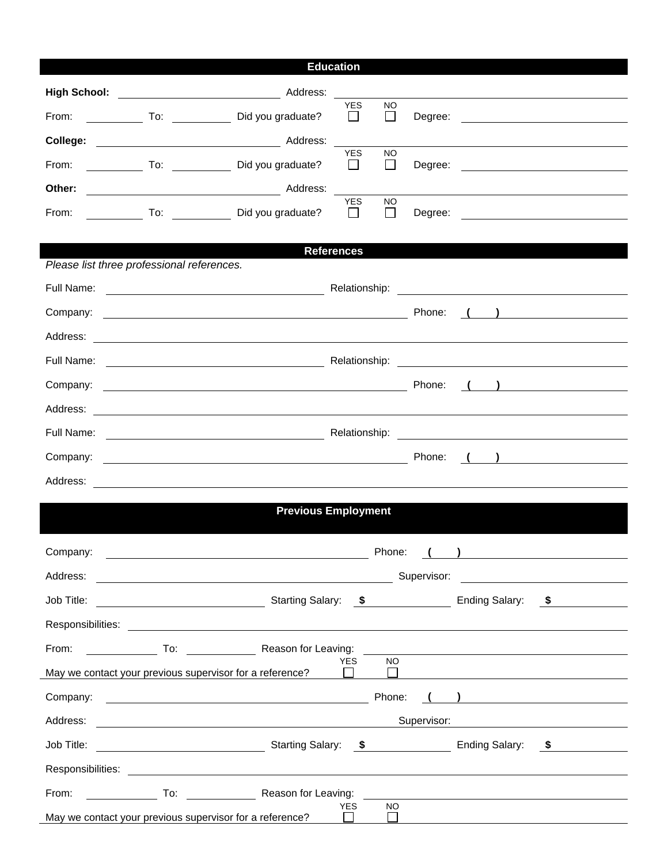## **Education**

| From:                                                                                                                                                                                                                          |  | To: Did you graduate?                                                                                                                                                                                                          | <b>YES</b><br>$\Box$  | <b>NO</b><br>$\perp$      | Degree:     |  | <u> 1989 - Jan Stern Stern Stern Stern Stern Stern Stern Stern Stern Stern Stern Stern Stern Stern Stern Stern St</u> |
|--------------------------------------------------------------------------------------------------------------------------------------------------------------------------------------------------------------------------------|--|--------------------------------------------------------------------------------------------------------------------------------------------------------------------------------------------------------------------------------|-----------------------|---------------------------|-------------|--|-----------------------------------------------------------------------------------------------------------------------|
| College:                                                                                                                                                                                                                       |  | Address:                                                                                                                                                                                                                       |                       |                           |             |  |                                                                                                                       |
| From:                                                                                                                                                                                                                          |  | Did you graduate?                                                                                                                                                                                                              | <b>YES</b><br>$\perp$ | <b>NO</b><br>$\mathbf{1}$ | Degree:     |  |                                                                                                                       |
| Other:                                                                                                                                                                                                                         |  | Address:                                                                                                                                                                                                                       |                       |                           |             |  |                                                                                                                       |
| From:                                                                                                                                                                                                                          |  | To: Did you graduate?                                                                                                                                                                                                          | <b>YES</b><br>$\perp$ | <b>NO</b><br>$\perp$      |             |  |                                                                                                                       |
|                                                                                                                                                                                                                                |  |                                                                                                                                                                                                                                |                       |                           |             |  |                                                                                                                       |
| Please list three professional references.                                                                                                                                                                                     |  |                                                                                                                                                                                                                                | <b>References</b>     |                           |             |  |                                                                                                                       |
|                                                                                                                                                                                                                                |  |                                                                                                                                                                                                                                |                       |                           |             |  |                                                                                                                       |
| Company:                                                                                                                                                                                                                       |  | <u> 1989 - Johann Stein, fransk politiker (d. 1989)</u>                                                                                                                                                                        |                       |                           | Phone:      |  | $\begin{pmatrix} 1 & 1 \end{pmatrix}$                                                                                 |
| Address:                                                                                                                                                                                                                       |  | <u> 1989 - Johann Barn, fransk politik amerikansk politik (</u>                                                                                                                                                                |                       |                           |             |  |                                                                                                                       |
|                                                                                                                                                                                                                                |  |                                                                                                                                                                                                                                |                       |                           |             |  |                                                                                                                       |
| Company:                                                                                                                                                                                                                       |  | Phone: Phone: Phone: Phone: Phone: Phone: Phone: Phone: Phone: Phone: Phone: Phone: Phone: Phone: Phone: Phone: Phone: Phone: Phone: Phone: Phone: Phone: Phone: Phone: Phone: Phone: Phone: Phone: Phone: Phone: Phone: Phone |                       |                           |             |  | $\left(\begin{array}{c} \begin{array}{c} \end{array}\\ \end{array}\right)$                                            |
|                                                                                                                                                                                                                                |  |                                                                                                                                                                                                                                |                       |                           |             |  |                                                                                                                       |
|                                                                                                                                                                                                                                |  |                                                                                                                                                                                                                                |                       |                           |             |  |                                                                                                                       |
| Company:                                                                                                                                                                                                                       |  |                                                                                                                                                                                                                                |                       |                           | Phone:      |  | $\begin{pmatrix} 1 & 1 \end{pmatrix}$                                                                                 |
|                                                                                                                                                                                                                                |  |                                                                                                                                                                                                                                |                       |                           |             |  |                                                                                                                       |
| <b>Previous Employment</b>                                                                                                                                                                                                     |  |                                                                                                                                                                                                                                |                       |                           |             |  |                                                                                                                       |
|                                                                                                                                                                                                                                |  |                                                                                                                                                                                                                                |                       |                           |             |  |                                                                                                                       |
| Company:                                                                                                                                                                                                                       |  |                                                                                                                                                                                                                                |                       | Phone:                    |             |  |                                                                                                                       |
| Address:                                                                                                                                                                                                                       |  | <u> 1989 - Johann Barn, mars eta biztanleria (h. 1982).</u>                                                                                                                                                                    |                       |                           | Supervisor: |  | <u> 1989 - Andrea State Barbara, política establecente de la propia de la propia de la propia de la propia de la</u>  |
|                                                                                                                                                                                                                                |  |                                                                                                                                                                                                                                |                       |                           |             |  |                                                                                                                       |
|                                                                                                                                                                                                                                |  |                                                                                                                                                                                                                                |                       |                           |             |  |                                                                                                                       |
|                                                                                                                                                                                                                                |  | From: To: To: Reason for Leaving: The Result of Leaving: The Reason for Leaving:                                                                                                                                               |                       |                           |             |  |                                                                                                                       |
| May we contact your previous supervisor for a reference?                                                                                                                                                                       |  |                                                                                                                                                                                                                                | YES                   | <b>NO</b><br>$\Box$       |             |  |                                                                                                                       |
|                                                                                                                                                                                                                                |  |                                                                                                                                                                                                                                |                       |                           |             |  |                                                                                                                       |
|                                                                                                                                                                                                                                |  |                                                                                                                                                                                                                                |                       |                           |             |  | Supervisor: <b>Example 2018</b>                                                                                       |
|                                                                                                                                                                                                                                |  |                                                                                                                                                                                                                                |                       |                           |             |  |                                                                                                                       |
| Responsibilities: Les and the set of the set of the set of the set of the set of the set of the set of the set of the set of the set of the set of the set of the set of the set of the set of the set of the set of the set o |  |                                                                                                                                                                                                                                |                       |                           |             |  |                                                                                                                       |
|                                                                                                                                                                                                                                |  |                                                                                                                                                                                                                                |                       |                           |             |  |                                                                                                                       |
| <b>YES</b><br>NO.<br>May we contact your previous supervisor for a reference? $\Box$<br><u>Li e concerna de la concerna de la concerna de la concerna de la concerna de la concerna de la concerna de la </u>                  |  |                                                                                                                                                                                                                                |                       |                           |             |  |                                                                                                                       |